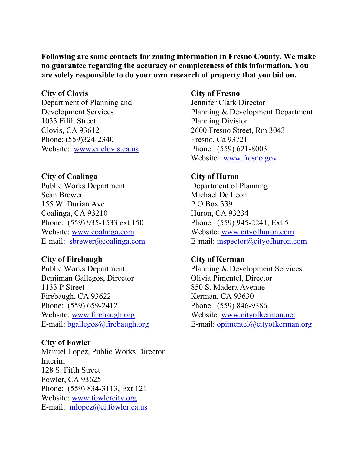**Following are some contacts for zoning information in Fresno County. We make no guarantee regarding the accuracy or completeness of this information. You are solely responsible to do your own research of property that you bid on.**

### **City of Clovis**

Department of Planning and Development Services 1033 Fifth Street Clovis, CA 93612 Phone: (559)324-2340 Website: [www.ci.clovis.ca.us](http://www.ci.clovis.ca.us/)

## **City of Coalinga**

Public Works Department Sean Brewer 155 W. Durian Ave Coalinga, CA 93210 Phone: (559) 935-1533 ext 150 Website: [www.coalinga.com](http://www.coalinga.com/) E-mail: [sbrewer@coalinga.com](mailto:sbrewer@coalinga.com)

## **City of Firebaugh**

Public Works Department Benjiman Gallegos, Director 1133 P Street Firebaugh, CA 93622 Phone: (559) 659-2412 Website: [www.firebaugh.org](http://www.firebaugh.org/) E-mail: [bgallegos@firebaugh.org](mailto:bgallegos@firebaugh.org)

### **City of Fowler**

Manuel Lopez, Public Works Director Interim 128 S. Fifth Street Fowler, CA 93625 Phone: (559) 834-3113, Ext 121 Website: [www.fowlercity.org](http://www.fowlercity.org/) E-mail: [mlopez@ci.fowler.ca.us](mailto:mlopez@ci.fowler.ca.us)

#### **City of Fresno**

Jennifer Clark Director Planning & Development Department Planning Division 2600 Fresno Street, Rm 3043 Fresno, Ca 93721 Phone: (559) 621-8003 Website: [www.fresno.gov](http://www.fresno.gov/)

### **City of Huron**

Department of Planning Michael De Leon P O Box 339 Huron, CA 93234 Phone: (559) 945-2241, Ext 5 Website: [www.cityofhuron.com](http://www.cityofhuron.com/) E-mail: [inspector@cityofhuron.com](mailto:inspector@cityofhuron.com)

## **City of Kerman**

Planning & Development Services Olivia Pimentel, Director 850 S. Madera Avenue Kerman, CA 93630 Phone: (559) 846-9386 Website: [www.cityofkerman.net](http://www.cityofkerman.net/) E-mail: [opimentel@cityofkerman.org](mailto:opimentel@cityofkerman.org)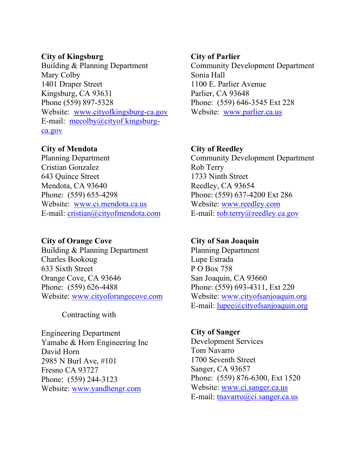### **City of Kingsburg**

Building & Planning Department Mary Colby 1401 Draper Street Kingsburg, CA 93631 Phone (559) 897-5328 Website: [www.cityofkingsburg-ca.gov](http://www.cityofkingsburg-ca.gov/) E-mail: [mecolby@cityof kingsburg](mailto:mecolby@cityofkingsburg-ca.gov)[ca.gov](mailto:mecolby@cityofkingsburg-ca.gov)

# **City of Mendota**

Planning Department Cristian Gonzalez 643 Quince Street Mendota, CA 93640 Phone: (559) 655-4298 Website: [www.ci.mendota.ca.us](http://www.ci.mendota.ca.us/) E-mail: [cristian@cityofmendota.com](mailto:cristian@cityofmendota.com)

## **City of Orange Cove**

Building & Planning Department Charles Bookoug 633 Sixth Street Orange Cove, CA 93646 Phone: (559) 626-4488 Website: [www.cityoforangecove.com](http://www.cityoforangecove.com/)

Contracting with

Engineering Department Yamabe & Horn Engineering Inc David Horn 2985 N Burl Ave, #101 Fresno CA 93727 Phone: (559) 244-3123 Website: [www.yandhengr.com](http://www.yandhengr.com/)

### **City of Parlier**

Community Development Department Sonia Hall 1100 E. Parlier Avenue Parlier, CA 93648 Phone: (559) 646-3545 Ext 228 Website: [www.parlier.ca.us](http://www.parlier.ca.us/)

# **City of Reedley**

Community Development Department Rob Terry 1733 Ninth Street Reedley, CA 93654 Phone: (559) 637-4200 Ext 286 Website: [www.reedley.com](http://www.reedley.com/) E-mail: [rob.terry@reedley.ca.gov](mailto:rob.terry@reedley.ca.gov)

## **City of San Joaquin**

Planning Department Lupe Estrada P O Box 758 San Joaquin, CA 93660 Phone: (559) 693-4311, Ext 220 Website: [www.cityofsanjoaquin.org](http://www.cityofsanjoaquin.org/) E-mail: [lupee@cityofsanjoaquin.org](mailto:lupee@cityofsanjoaquin.org)

# **City of Sanger** Development Services Tom Navarro 1700 Seventh Street Sanger, CA 93657 Phone: (559) 876-6300, Ext 1520 Website: [www.ci.sanger.ca.us](http://www.ci.sanger.ca.us/) E-mail: [tnavarro@ci.sanger.ca.us](mailto:tnavarro@ci.sanger.ca.us)